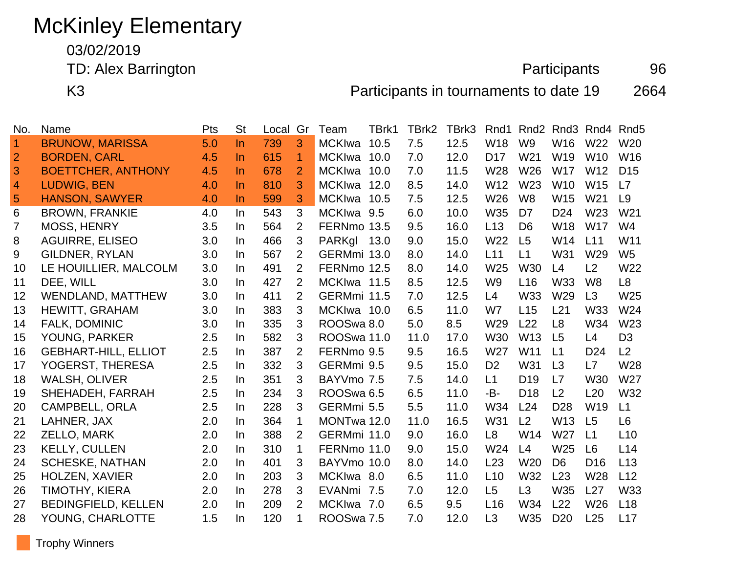# McKinley Elementary

03/02/2019

TD: Alex Barrington **Participants** 96

K3 Participants in tournaments to date 19 2664

| No.            | Name                        | Pts | <b>St</b> | Local | Gr             | Team                  | TBrk1 | TBrk2 | TBrk3 | Rnd1            | Rnd <sub>2</sub> | Rnd <sub>3</sub> |                 | Rnd4 Rnd5       |
|----------------|-----------------------------|-----|-----------|-------|----------------|-----------------------|-------|-------|-------|-----------------|------------------|------------------|-----------------|-----------------|
| $\overline{1}$ | <b>BRUNOW, MARISSA</b>      | 5.0 | $\ln$     | 739   | 3              | <b>MCKIwa</b>         | 10.5  | 7.5   | 12.5  | W18             | W <sub>9</sub>   | W16              | W <sub>22</sub> | W <sub>20</sub> |
| $\overline{2}$ | <b>BORDEN, CARL</b>         | 4.5 | In.       | 615   | 1              | <b>MCKIwa</b>         | 10.0  | 7.0   | 12.0  | D <sub>17</sub> | W21              | W19              | W <sub>10</sub> | W16             |
| 3              | <b>BOETTCHER, ANTHONY</b>   | 4.5 | $\ln$     | 678   | $\overline{2}$ | <b>MCKIwa</b>         | 10.0  | 7.0   | 11.5  | W28             | W26              | <b>W17</b>       | W12             | D <sub>15</sub> |
| $\overline{4}$ | <b>LUDWIG, BEN</b>          | 4.0 | In.       | 810   | 3              | <b>MCKIwa</b>         | 12.0  | 8.5   | 14.0  | W <sub>12</sub> | W <sub>23</sub>  | W <sub>10</sub>  | W <sub>15</sub> | L7              |
| 5              | <b>HANSON, SAWYER</b>       | 4.0 | In.       | 599   | 3              | <b>MCKIwa</b>         | 10.5  | 7.5   | 12.5  | W26             | W <sub>8</sub>   | W15              | W <sub>21</sub> | L <sub>9</sub>  |
| 6              | <b>BROWN, FRANKIE</b>       | 4.0 | $\ln$     | 543   | 3              | MCKIwa 9.5            |       | 6.0   | 10.0  | W35             | D <sub>7</sub>   | D <sub>24</sub>  | W23             | W21             |
| $\overline{7}$ | <b>MOSS, HENRY</b>          | 3.5 | In.       | 564   | 2              | FERNmo 13.5           |       | 9.5   | 16.0  | L13             | D <sub>6</sub>   | W18              | <b>W17</b>      | W4              |
| 8              | <b>AGUIRRE, ELISEO</b>      | 3.0 | In.       | 466   | 3              | PARKgl                | 13.0  | 9.0   | 15.0  | W22             | L5               | W14              | L11             | W11             |
| 9              | <b>GILDNER, RYLAN</b>       | 3.0 | In.       | 567   | 2              | GERMmi 13.0           |       | 8.0   | 14.0  | L11             | L1               | W31              | W29             | W <sub>5</sub>  |
| 10             | LE HOUILLIER, MALCOLM       | 3.0 | In.       | 491   | 2              | FERNmo 12.5           |       | 8.0   | 14.0  | W <sub>25</sub> | <b>W30</b>       | L4               | L2              | W22             |
| 11             | DEE, WILL                   | 3.0 | In.       | 427   | 2              | MCKIwa 11.5           |       | 8.5   | 12.5  | W <sub>9</sub>  | L16              | <b>W33</b>       | W <sub>8</sub>  | L8              |
| 12             | <b>WENDLAND, MATTHEW</b>    | 3.0 | In.       | 411   | 2              | GERMmi 11.5           |       | 7.0   | 12.5  | L4              | W33              | W29              | L3              | W <sub>25</sub> |
| 13             | HEWITT, GRAHAM              | 3.0 | In.       | 383   | 3              | MCKIwa 10.0           |       | 6.5   | 11.0  | W7              | L15              | L21              | W33             | W24             |
| 14             | FALK, DOMINIC               | 3.0 | In.       | 335   | 3              | ROOSwa 8.0            |       | 5.0   | 8.5   | W29             | L22              | L <sub>8</sub>   | W34             | W23             |
| 15             | <b>YOUNG, PARKER</b>        | 2.5 | In.       | 582   | 3              | ROOSwa 11.0           |       | 11.0  | 17.0  | W30             | W <sub>13</sub>  | L5               | L4              | D <sub>3</sub>  |
| 16             | <b>GEBHART-HILL, ELLIOT</b> | 2.5 | In.       | 387   | 2              | FERNmo 9.5            |       | 9.5   | 16.5  | W27             | W11              | L1               | D <sub>24</sub> | L2              |
| 17             | YOGERST, THERESA            | 2.5 | In.       | 332   | 3              | GERMmi 9.5            |       | 9.5   | 15.0  | D <sub>2</sub>  | W31              | L3               | L7              | W28             |
| 18             | <b>WALSH, OLIVER</b>        | 2.5 | In.       | 351   | 3              | BAYVmo 7.5            |       | 7.5   | 14.0  | L1              | D <sub>19</sub>  | L7               | W30             | W27             |
| 19             | SHEHADEH, FARRAH            | 2.5 | In.       | 234   | 3              | ROOSwa <sub>6.5</sub> |       | 6.5   | 11.0  | -B-             | D <sub>18</sub>  | L2               | L20             | W32             |
| 20             | <b>CAMPBELL, ORLA</b>       | 2.5 | In.       | 228   | 3              | GERMmi 5.5            |       | 5.5   | 11.0  | W34             | L24              | D <sub>28</sub>  | W19             | L1              |
| 21             | LAHNER, JAX                 | 2.0 | In.       | 364   | 1              | MONTwa 12.0           |       | 11.0  | 16.5  | W31             | L <sub>2</sub>   | W13              | L <sub>5</sub>  | L <sub>6</sub>  |
| 22             | ZELLO, MARK                 | 2.0 | In.       | 388   | 2              | GERMmi 11.0           |       | 9.0   | 16.0  | L <sub>8</sub>  | W14              | W27              | L1              | L10             |
| 23             | <b>KELLY, CULLEN</b>        | 2.0 | In.       | 310   | 1              | FERNmo 11.0           |       | 9.0   | 15.0  | W24             | L4               | W <sub>25</sub>  | L <sub>6</sub>  | L14             |
| 24             | <b>SCHESKE, NATHAN</b>      | 2.0 | In.       | 401   | 3              | BAYVmo 10.0           |       | 8.0   | 14.0  | L23             | W <sub>20</sub>  | D <sub>6</sub>   | D <sub>16</sub> | L13             |
| 25             | <b>HOLZEN, XAVIER</b>       | 2.0 | In.       | 203   | 3              | MCKIwa 8.0            |       | 6.5   | 11.0  | L10             | W32              | L23              | W28             | L12             |
| 26             | <b>TIMOTHY, KIERA</b>       | 2.0 | In.       | 278   | 3              | EVANmi                | 7.5   | 7.0   | 12.0  | L <sub>5</sub>  | L3               | W35              | L27             | W33             |
| 27             | <b>BEDINGFIELD, KELLEN</b>  | 2.0 | In.       | 209   | 2              | MCKIwa 7.0            |       | 6.5   | 9.5   | L16             | W34              | L22              | W26             | L18             |
| 28             | YOUNG, CHARLOTTE            | 1.5 | In.       | 120   | 1              | ROOSwa 7.5            |       | 7.0   | 12.0  | L <sub>3</sub>  | W35              | D <sub>20</sub>  | L25             | L17             |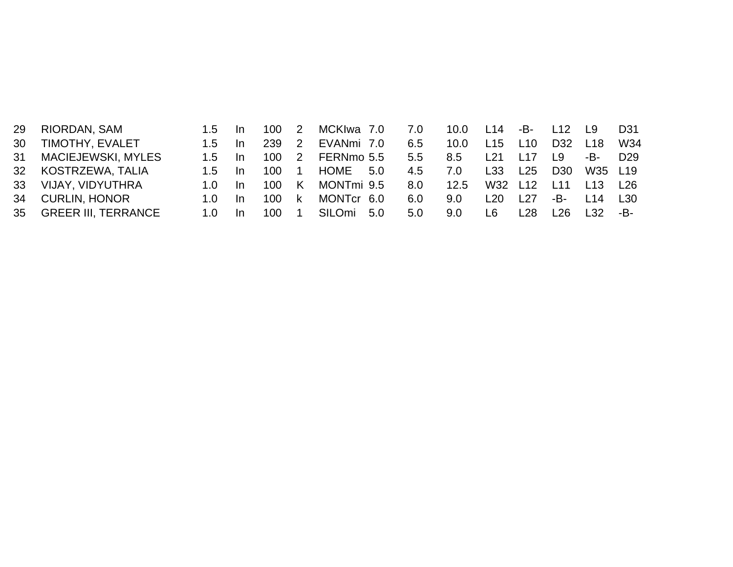| 29 | RIORDAN, SAM              | 1.5  | -In | 100 2 |                | MCKIwa 7.0 |     | 7.0 | 10.0 | L14             | -B- L12         |                 | <b>19</b>        | D31             |
|----|---------------------------|------|-----|-------|----------------|------------|-----|-----|------|-----------------|-----------------|-----------------|------------------|-----------------|
| 30 | TIMOTHY, EVALET           | 1.5  | In. | 239   | $\overline{2}$ | EVANmi 7.0 |     | 6.5 | 10.0 | L15             | L <sub>10</sub> | D <sub>32</sub> | L18              | W34             |
| 31 | <b>MACIEJEWSKI, MYLES</b> | 1.5  | In. | 100 2 |                | FERNmo 5.5 |     | 5.5 | 8.5  | L <sub>21</sub> | l 17            | L9.             | -B-l             | D <sub>29</sub> |
|    | 32 KOSTRZEWA, TALIA       | 1.5  | In. | 100   | $\blacksquare$ | HOME       | 5.0 | 4.5 | 7.0  | L33             | L25             | D <sub>30</sub> | W35 L19          |                 |
| 33 | VIJAY, VIDYUTHRA          | 1 በ  | In. | 100   | <b>K</b>       | MONTmi 9.5 |     | 8.0 | 12.5 | W32             | L12             | L <sub>11</sub> | L <sub>13</sub>  | L26             |
| 34 | <b>CURLIN, HONOR</b>      | 1.0. | In. | 100 k |                | MONTcr 6.0 |     | 6.0 | 9.0  | L20             | l 27            | -B-l            | $\overline{114}$ | L30             |
|    | 35 GREER III, TERRANCE    | 1 N  |     | 100   |                | SILOmi     | 5.0 | 5.0 | 9.0  | I 6             | l 28            | l 26.           |                  | -B-             |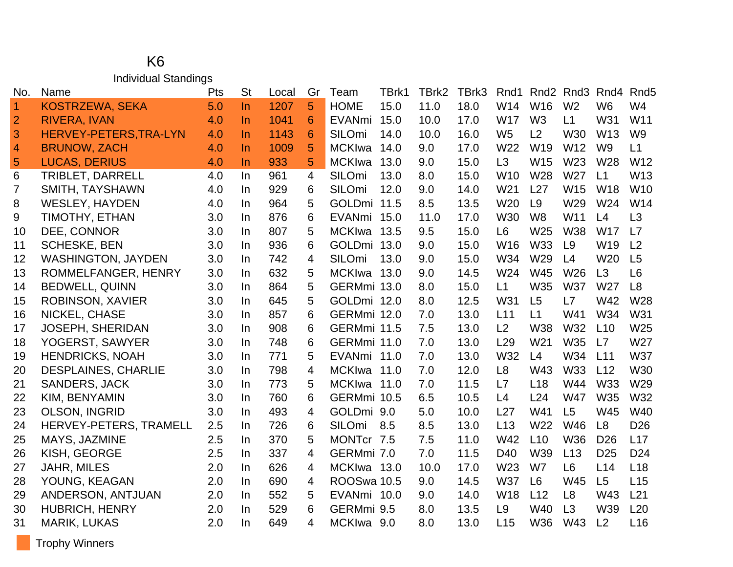#### K6 Individual Standings

| No.            | Name                       | Pts | <b>St</b> | Local | Gr              | Team          | TBrk1 | TBrk2 | TBrk3 | Rnd1            | Rnd <sub>2</sub> | Rnd3            | Rnd4            | Rnd <sub>5</sub> |
|----------------|----------------------------|-----|-----------|-------|-----------------|---------------|-------|-------|-------|-----------------|------------------|-----------------|-----------------|------------------|
| $\overline{1}$ | <b>KOSTRZEWA, SEKA</b>     | 5.0 | $\ln$     | 1207  | 5               | <b>HOME</b>   | 15.0  | 11.0  | 18.0  | W14             | W16              | W <sub>2</sub>  | W <sub>6</sub>  | W4               |
| $\overline{2}$ | <b>RIVERA, IVAN</b>        | 4.0 | In.       | 1041  | 6               | <b>EVANmi</b> | 15.0  | 10.0  | 17.0  | W17             | W <sub>3</sub>   | L1              | W31             | W11              |
| 3              | HERVEY-PETERS, TRA-LYN     | 4.0 | <b>In</b> | 1143  | $6\phantom{1}6$ | SILOmi        | 14.0  | 10.0  | 16.0  | W <sub>5</sub>  | L2               | W30             | W <sub>13</sub> | W <sub>9</sub>   |
| $\overline{4}$ | <b>BRUNOW, ZACH</b>        | 4.0 | In.       | 1009  | 5               | <b>MCKIwa</b> | 14.0  | 9.0   | 17.0  | W22             | W <sub>19</sub>  | W12             | W <sub>9</sub>  | L1               |
| $\overline{5}$ | <b>LUCAS, DERIUS</b>       | 4.0 | $\ln$     | 933   | 5               | <b>MCKIwa</b> | 13.0  | 9.0   | 15.0  | L <sub>3</sub>  | W15              | W23             | W28             | W12              |
| 6              | <b>TRIBLET, DARRELL</b>    | 4.0 | In.       | 961   | 4               | SILOmi        | 13.0  | 8.0   | 15.0  | W <sub>10</sub> | W28              | W <sub>27</sub> | L1              | W <sub>13</sub>  |
| 7              | SMITH, TAYSHAWN            | 4.0 | In.       | 929   | 6               | SILOmi        | 12.0  | 9.0   | 14.0  | W21             | L27              | W15             | <b>W18</b>      | W10              |
| 8              | <b>WESLEY, HAYDEN</b>      | 4.0 | In.       | 964   | 5               | GOLDmi 11.5   |       | 8.5   | 13.5  | W20             | L9               | W29             | W <sub>24</sub> | W14              |
| 9              | TIMOTHY, ETHAN             | 3.0 | In        | 876   | 6               | <b>EVANmi</b> | 15.0  | 11.0  | 17.0  | <b>W30</b>      | W <sub>8</sub>   | W11             | L4              | L3               |
| 10             | DEE, CONNOR                | 3.0 | In.       | 807   | 5               | MCKIwa 13.5   |       | 9.5   | 15.0  | L <sub>6</sub>  | W <sub>25</sub>  | <b>W38</b>      | <b>W17</b>      | L7               |
| 11             | <b>SCHESKE, BEN</b>        | 3.0 | In.       | 936   | 6               | GOLDmi 13.0   |       | 9.0   | 15.0  | W16             | W33              | L9              | W19             | L2               |
| 12             | <b>WASHINGTON, JAYDEN</b>  | 3.0 | In.       | 742   | $\overline{4}$  | SILOmi        | 13.0  | 9.0   | 15.0  | W34             | W <sub>29</sub>  | L4              | W <sub>20</sub> | L5               |
| 13             | ROMMELFANGER, HENRY        | 3.0 | In.       | 632   | 5               | MCKIwa 13.0   |       | 9.0   | 14.5  | W24             | <b>W45</b>       | W26             | L3              | L <sub>6</sub>   |
| 14             | <b>BEDWELL, QUINN</b>      | 3.0 | In.       | 864   | 5               | GERMmi 13.0   |       | 8.0   | 15.0  | L1              | W35              | <b>W37</b>      | W27             | L8               |
| 15             | <b>ROBINSON, XAVIER</b>    | 3.0 | In        | 645   | 5               | GOLDmi 12.0   |       | 8.0   | 12.5  | W31             | L5               | L7              | W42             | W28              |
| 16             | NICKEL, CHASE              | 3.0 | In.       | 857   | 6               | GERMmi 12.0   |       | 7.0   | 13.0  | L11             | L1               | W41             | W34             | W31              |
| 17             | <b>JOSEPH, SHERIDAN</b>    | 3.0 | In.       | 908   | 6               | GERMmi 11.5   |       | 7.5   | 13.0  | L2              | <b>W38</b>       | W32             | L10             | W25              |
| 18             | YOGERST, SAWYER            | 3.0 | In.       | 748   | 6               | GERMmi 11.0   |       | 7.0   | 13.0  | L29             | W <sub>21</sub>  | W35             | L7              | W <sub>27</sub>  |
| 19             | <b>HENDRICKS, NOAH</b>     | 3.0 | In        | 771   | 5               | EVANmi 11.0   |       | 7.0   | 13.0  | W32             | L4               | W34             | L11             | <b>W37</b>       |
| 20             | <b>DESPLAINES, CHARLIE</b> | 3.0 | In.       | 798   | 4               | MCKIwa 11.0   |       | 7.0   | 12.0  | L <sub>8</sub>  | W43              | W33             | L12             | W30              |
| 21             | <b>SANDERS, JACK</b>       | 3.0 | In        | 773   | 5               | MCKIwa 11.0   |       | 7.0   | 11.5  | L7              | L <sub>18</sub>  | W44             | <b>W33</b>      | W29              |
| 22             | KIM, BENYAMIN              | 3.0 | In.       | 760   | 6               | GERMmi 10.5   |       | 6.5   | 10.5  | L4              | L24              | <b>W47</b>      | W35             | W32              |
| 23             | <b>OLSON, INGRID</b>       | 3.0 | In.       | 493   | 4               | GOLDmi 9.0    |       | 5.0   | 10.0  | L27             | W41              | L <sub>5</sub>  | W45             | W40              |
| 24             | HERVEY-PETERS, TRAMELL     | 2.5 | In.       | 726   | 6               | <b>SILOmi</b> | 8.5   | 8.5   | 13.0  | L13             | W22              | W46             | L <sub>8</sub>  | D <sub>26</sub>  |
| 25             | MAYS, JAZMINE              | 2.5 | In.       | 370   | 5               | MONTcr 7.5    |       | 7.5   | 11.0  | W42             | L10              | W36             | D <sub>26</sub> | L17              |
| 26             | KISH, GEORGE               | 2.5 | In.       | 337   | 4               | GERMmi 7.0    |       | 7.0   | 11.5  | D40             | W39              | L13             | D <sub>25</sub> | D <sub>24</sub>  |
| 27             | <b>JAHR, MILES</b>         | 2.0 | In        | 626   | 4               | MCKIwa 13.0   |       | 10.0  | 17.0  | W23             | W7               | L <sub>6</sub>  | L14             | L <sub>18</sub>  |
| 28             | YOUNG, KEAGAN              | 2.0 | In.       | 690   | 4               | ROOSwa 10.5   |       | 9.0   | 14.5  | <b>W37</b>      | L <sub>6</sub>   | <b>W45</b>      | L5              | L15              |
| 29             | ANDERSON, ANTJUAN          | 2.0 | In        | 552   | 5               | EVANmi 10.0   |       | 9.0   | 14.0  | <b>W18</b>      | L12              | L <sub>8</sub>  | W43             | L21              |
| 30             | <b>HUBRICH, HENRY</b>      | 2.0 | In.       | 529   | 6               | GERMmi 9.5    |       | 8.0   | 13.5  | L <sub>9</sub>  | W40              | L3              | W39             | L20              |
| 31             | <b>MARIK, LUKAS</b>        | 2.0 | In        | 649   | 4               | MCKIwa 9.0    |       | 8.0   | 13.0  | L15             | W36              | W43             | L2              | L16              |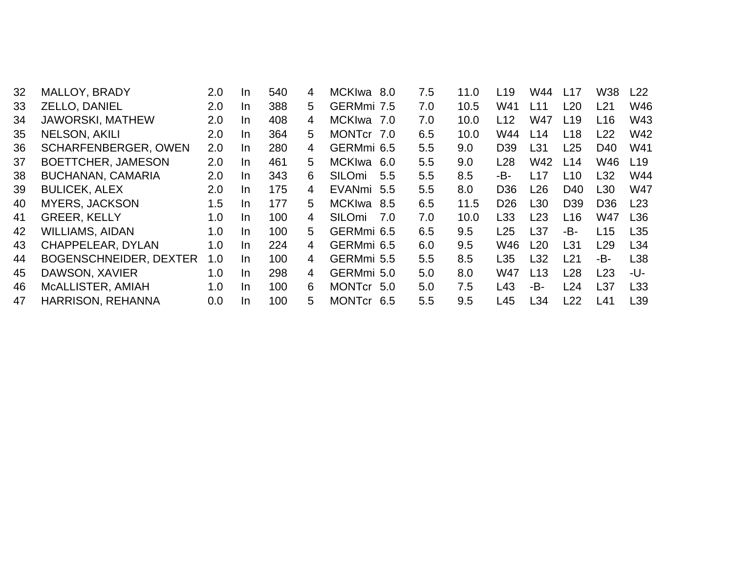| 32 | MALLOY, BRADY                 | 2.0 | In. | 540 | 4  | MCKIwa 8.0           | 7.5 | 11.0 | L <sub>19</sub> | W44             | L17             | <b>W38</b>      | L22             |
|----|-------------------------------|-----|-----|-----|----|----------------------|-----|------|-----------------|-----------------|-----------------|-----------------|-----------------|
| 33 | ZELLO, DANIEL                 | 2.0 | In. | 388 | 5  | GERMmi 7.5           | 7.0 | 10.5 | W41             | L <sub>11</sub> | L20             | L21             | W46             |
| 34 | <b>JAWORSKI, MATHEW</b>       | 2.0 | In. | 408 | 4  | <b>MCKIwa</b><br>7.0 | 7.0 | 10.0 | L12             | W47             | L19             | L16             | W43             |
| 35 | <b>NELSON, AKILI</b>          | 2.0 | In. | 364 | 5. | MONTcr 7.0           | 6.5 | 10.0 | W44             | L14             | L18             | L22             | W42             |
| 36 | <b>SCHARFENBERGER, OWEN</b>   | 2.0 | In. | 280 | 4  | GERMmi 6.5           | 5.5 | 9.0  | D <sub>39</sub> | L31             | L25             | D <sub>40</sub> | W41             |
| 37 | BOETTCHER, JAMESON            | 2.0 | In. | 461 | 5  | <b>MCKIwa</b><br>6.0 | 5.5 | 9.0  | L <sub>28</sub> | W42             | L14             | W46             | L19             |
| 38 | <b>BUCHANAN, CAMARIA</b>      | 2.0 | In. | 343 | 6  | SILOmi<br>5.5        | 5.5 | 8.5  | -В-             | L17             | L10             | L32             | W44             |
| 39 | <b>BULICEK, ALEX</b>          | 2.0 | In. | 175 | 4  | EVANmi 5.5           | 5.5 | 8.0  | D <sub>36</sub> | L26             | D <sub>40</sub> | L30             | W47             |
| 40 | <b>MYERS, JACKSON</b>         | 1.5 | In. | 177 | 5  | <b>MCKIwa</b><br>8.5 | 6.5 | 11.5 | D <sub>26</sub> | L <sub>30</sub> | D <sub>39</sub> | D <sub>36</sub> | L23             |
| 41 | <b>GREER, KELLY</b>           | 1.0 | In. | 100 | 4  | SILOmi<br>7.0        | 7.0 | 10.0 | L <sub>33</sub> | L23             | L16             | W47             | L36             |
| 42 | <b>WILLIAMS, AIDAN</b>        | 1.0 | In. | 100 | 5  | GERMmi 6.5           | 6.5 | 9.5  | L25             | L37             | -B-             | L15             | L <sub>35</sub> |
| 43 | CHAPPELEAR, DYLAN             | 1.0 | In. | 224 | 4  | GERMmi 6.5           | 6.0 | 9.5  | W46             | L20             | L31             | L <sub>29</sub> | L34             |
| 44 | <b>BOGENSCHNEIDER, DEXTER</b> | 1.0 | In. | 100 | 4  | GERMmi 5.5           | 5.5 | 8.5  | L <sub>35</sub> | L32             | L <sub>21</sub> | -B-             | L38             |
| 45 | DAWSON, XAVIER                | 1.0 | In. | 298 | 4  | GERMmi 5.0           | 5.0 | 8.0  | W47             | L13             | L28             | L23             | -U-             |
| 46 | MCALLISTER, AMIAH             | 1.0 | In. | 100 | 6  | MONTCr 5.0           | 5.0 | 7.5  | L43             | -В-             | L24             | L37             | L33             |
| 47 | <b>HARRISON, REHANNA</b>      | 0.0 | In. | 100 | 5  | <b>MONTcr</b><br>6.5 | 5.5 | 9.5  | L45             | L34             | L22             | L41             | L <sub>39</sub> |
|    |                               |     |     |     |    |                      |     |      |                 |                 |                 |                 |                 |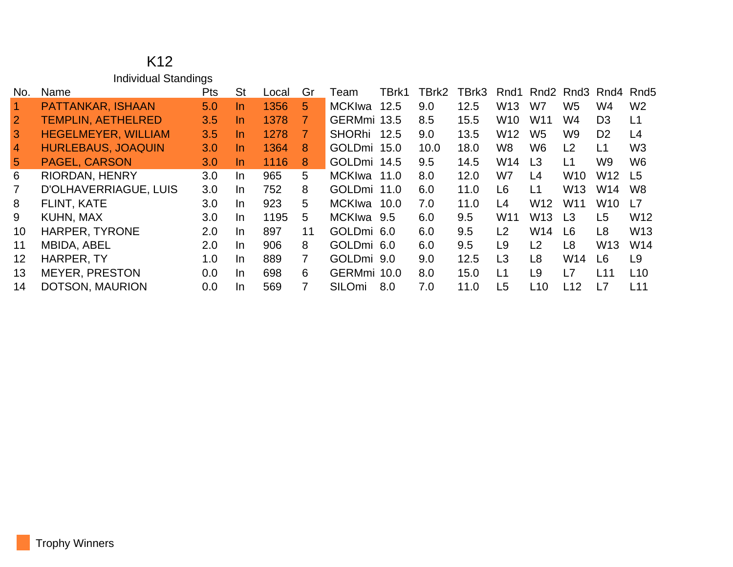#### K12 Individual Standings

| No.             | Name                       | <b>Pts</b> | St        | Local | Gr           | Team          | TBrk1 | TBrk2 | TBrk3 | Rnd1            | Rnd2            |                 | Rnd3 Rnd4       | Rnd5            |
|-----------------|----------------------------|------------|-----------|-------|--------------|---------------|-------|-------|-------|-----------------|-----------------|-----------------|-----------------|-----------------|
| $\vert$ 1       | PATTANKAR, ISHAAN          | 5.0        | $\ln$     | 1356  | 5            | MCKIwa        | 12.5  | 9.0   | 12.5  | W <sub>13</sub> | W7              | W5              | W4              | W <sub>2</sub>  |
| $\overline{2}$  | <b>TEMPLIN, AETHELRED</b>  | 3.5        | <u>In</u> | 1378  | 7.           | GERMmi 13.5   |       | 8.5   | 15.5  | W <sub>10</sub> | W <sub>11</sub> | W4              | D <sub>3</sub>  | L1              |
| $\overline{3}$  | <b>HEGELMEYER, WILLIAM</b> | 3.5        | <u>In</u> | 1278  | 7            | <b>SHORhi</b> | 12.5  | 9.0   | 13.5  | W <sub>12</sub> | W <sub>5</sub>  | W9              | D <sub>2</sub>  | L4              |
| $\overline{4}$  | <b>HURLEBAUS, JOAQUIN</b>  | 3.0        | <u>In</u> | 1364  | 8            | GOLDmi 15.0   |       | 10.0  | 18.0  | W8              | W <sub>6</sub>  | L <sub>2</sub>  | L1              | W <sub>3</sub>  |
| $5\overline{)}$ | <b>PAGEL, CARSON</b>       | 3.0        | <u>In</u> | 1116  | 8            | GOLDmi 14.5   |       | 9.5   | 14.5  | W14             | L <sub>3</sub>  | L1              | W9              | W <sub>6</sub>  |
| 6               | <b>RIORDAN, HENRY</b>      | 3.0        | In.       | 965   | 5            | MCKIwa 11.0   |       | 8.0   | 12.0  | W7              | L4              | W10             | W <sub>12</sub> | L <sub>5</sub>  |
|                 | D'OLHAVERRIAGUE, LUIS      | 3.0        | In.       | 752   | 8            | GOLDmi 11.0   |       | 6.0   | 11.0  | L6              | L1              | W13             | W14             | W <sub>8</sub>  |
| 8               | <b>FLINT, KATE</b>         | 3.0        | In.       | 923   | 5            | MCKIwa        | 10.0  | 7.0   | 11.0  | L4              | W <sub>12</sub> | W <sub>11</sub> | W <sub>10</sub> | L7              |
| 9               | KUHN, MAX                  | 3.0        | In.       | 1195  | 5.           | MCKIwa 9.5    |       | 6.0   | 9.5   | W <sub>11</sub> | W <sub>13</sub> | L <sub>3</sub>  | L <sub>5</sub>  | W <sub>12</sub> |
| 10              | HARPER, TYRONE             | 2.0        | In.       | 897   | 11           | GOLDmi 6.0    |       | 6.0   | 9.5   | L2              | W14             | L6              | L8              | W <sub>13</sub> |
| 11              | <b>MBIDA, ABEL</b>         | 2.0        | $\ln$     | 906   | 8            | GOLDmi 6.0    |       | 6.0   | 9.5   | L9              | L <sub>2</sub>  | L <sub>8</sub>  | W <sub>13</sub> | W14             |
| 12              | HARPER, TY                 | 1.0        | In.       | 889   | $\mathbf{7}$ | GOLDmi 9.0    |       | 9.0   | 12.5  | L3              | L <sub>8</sub>  | W14             | L6              | L <sub>9</sub>  |
| 13              | <b>MEYER, PRESTON</b>      | 0.0        | In        | 698   | 6            | GERMmi 10.0   |       | 8.0   | 15.0  | L1              | L <sub>9</sub>  | L7              | L11             | L10             |
| 14              | DOTSON, MAURION            | 0.0        | In.       | 569   | 7            | SILOmi        | 8.0   | 7.0   | 11.0  | L5              | L <sub>10</sub> | L12             | L7              | L11             |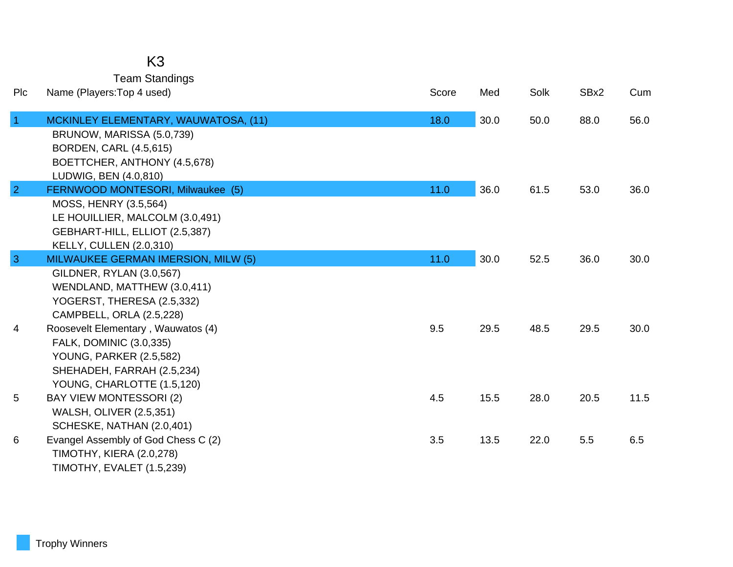## K3

Team Standings

| Plc            | Name (Players: Top 4 used)                                 | Score | Med  | Solk | SBx2 | Cum  |
|----------------|------------------------------------------------------------|-------|------|------|------|------|
| $\vert$ 1      | MCKINLEY ELEMENTARY, WAUWATOSA, (11)                       | 18.0  | 30.0 | 50.0 | 88.0 | 56.0 |
|                | BRUNOW, MARISSA (5.0,739)<br><b>BORDEN, CARL (4.5,615)</b> |       |      |      |      |      |
|                | BOETTCHER, ANTHONY (4.5,678)                               |       |      |      |      |      |
|                | LUDWIG, BEN (4.0,810)                                      |       |      |      |      |      |
| $\overline{2}$ | FERNWOOD MONTESORI, Milwaukee (5)                          | 11.0  | 36.0 | 61.5 | 53.0 | 36.0 |
|                | MOSS, HENRY (3.5,564)                                      |       |      |      |      |      |
|                | LE HOUILLIER, MALCOLM (3.0,491)                            |       |      |      |      |      |
|                | GEBHART-HILL, ELLIOT (2.5,387)                             |       |      |      |      |      |
|                | KELLY, CULLEN (2.0,310)                                    |       |      |      |      |      |
| $\mathbf{3}$   | MILWAUKEE GERMAN IMERSION, MILW (5)                        | 11.0  | 30.0 | 52.5 | 36.0 | 30.0 |
|                | GILDNER, RYLAN (3.0,567)                                   |       |      |      |      |      |
|                | WENDLAND, MATTHEW (3.0,411)                                |       |      |      |      |      |
|                | YOGERST, THERESA (2.5,332)                                 |       |      |      |      |      |
|                | CAMPBELL, ORLA (2.5,228)                                   |       |      |      |      |      |
| $\overline{4}$ | Roosevelt Elementary, Wauwatos (4)                         | 9.5   | 29.5 | 48.5 | 29.5 | 30.0 |
|                | FALK, DOMINIC (3.0,335)                                    |       |      |      |      |      |
|                | <b>YOUNG, PARKER (2.5,582)</b>                             |       |      |      |      |      |
|                | SHEHADEH, FARRAH (2.5,234)                                 |       |      |      |      |      |
|                | YOUNG, CHARLOTTE (1.5,120)                                 |       |      |      |      |      |
| 5              | <b>BAY VIEW MONTESSORI (2)</b>                             | 4.5   | 15.5 | 28.0 | 20.5 | 11.5 |
|                | <b>WALSH, OLIVER (2.5,351)</b>                             |       |      |      |      |      |
|                | SCHESKE, NATHAN (2.0,401)                                  |       |      |      |      |      |
| 6              | Evangel Assembly of God Chess C (2)                        | 3.5   | 13.5 | 22.0 | 5.5  | 6.5  |
|                | <b>TIMOTHY, KIERA (2.0,278)</b>                            |       |      |      |      |      |
|                | TIMOTHY, EVALET (1.5,239)                                  |       |      |      |      |      |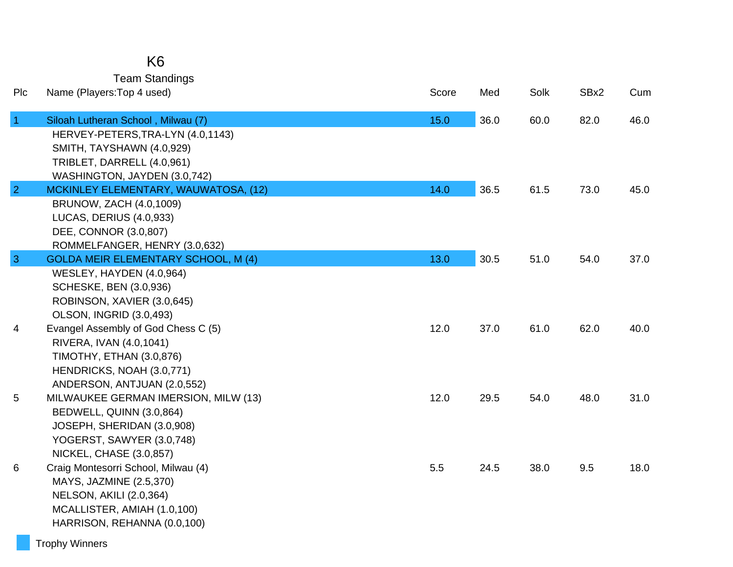| K6                    |
|-----------------------|
| <b>Team Standings</b> |

| Plc             | Name (Players: Top 4 used)                                  | Score | Med  | Solk | SBx2 | Cum  |
|-----------------|-------------------------------------------------------------|-------|------|------|------|------|
| $\vert$ 1       | Siloah Lutheran School, Milwau (7)                          | 15.0  | 36.0 | 60.0 | 82.0 | 46.0 |
|                 | HERVEY-PETERS, TRA-LYN (4.0, 1143)                          |       |      |      |      |      |
|                 | SMITH, TAYSHAWN (4.0,929)                                   |       |      |      |      |      |
|                 | TRIBLET, DARRELL (4.0,961)                                  |       |      |      |      |      |
|                 | WASHINGTON, JAYDEN (3.0,742)                                |       |      |      |      |      |
| $\overline{2}$  | MCKINLEY ELEMENTARY, WAUWATOSA, (12)                        | 14.0  | 36.5 | 61.5 | 73.0 | 45.0 |
|                 | BRUNOW, ZACH (4.0,1009)<br>LUCAS, DERIUS (4.0,933)          |       |      |      |      |      |
|                 | DEE, CONNOR (3.0,807)                                       |       |      |      |      |      |
|                 | ROMMELFANGER, HENRY (3.0,632)                               |       |      |      |      |      |
| $\mathbf{3}$    | <b>GOLDA MEIR ELEMENTARY SCHOOL, M (4)</b>                  | 13.0  | 30.5 | 51.0 | 54.0 | 37.0 |
|                 | WESLEY, HAYDEN (4.0,964)                                    |       |      |      |      |      |
|                 | <b>SCHESKE, BEN (3.0,936)</b>                               |       |      |      |      |      |
|                 | ROBINSON, XAVIER (3.0,645)                                  |       |      |      |      |      |
|                 | <b>OLSON, INGRID (3.0,493)</b>                              |       |      |      |      |      |
| 4               | Evangel Assembly of God Chess C (5)                         | 12.0  | 37.0 | 61.0 | 62.0 | 40.0 |
|                 | RIVERA, IVAN (4.0,1041)                                     |       |      |      |      |      |
|                 | TIMOTHY, ETHAN (3.0,876)                                    |       |      |      |      |      |
|                 | HENDRICKS, NOAH (3.0,771)                                   |       |      |      |      |      |
|                 | ANDERSON, ANTJUAN (2.0,552)                                 |       |      |      |      |      |
| $5\phantom{.0}$ | MILWAUKEE GERMAN IMERSION, MILW (13)                        | 12.0  | 29.5 | 54.0 | 48.0 | 31.0 |
|                 | BEDWELL, QUINN (3.0,864)                                    |       |      |      |      |      |
|                 | JOSEPH, SHERIDAN (3.0,908)                                  |       |      |      |      |      |
|                 | YOGERST, SAWYER (3.0,748)<br><b>NICKEL, CHASE (3.0,857)</b> |       |      |      |      |      |
| 6               | Craig Montesorri School, Milwau (4)                         | 5.5   | 24.5 | 38.0 | 9.5  | 18.0 |
|                 | MAYS, JAZMINE (2.5,370)                                     |       |      |      |      |      |
|                 | <b>NELSON, AKILI (2.0,364)</b>                              |       |      |      |      |      |
|                 | MCALLISTER, AMIAH (1.0,100)                                 |       |      |      |      |      |
|                 | HARRISON, REHANNA (0.0,100)                                 |       |      |      |      |      |
|                 |                                                             |       |      |      |      |      |